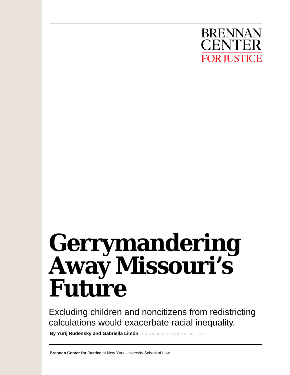

# **Gerrymandering Away Missouri's Future**

Excluding children and noncitizens from redistricting calculations would exacerbate racial inequality.

**By Yurij Rudensky and Gabriella Limón** PUBLISHED SEPTEMBER 18, 2020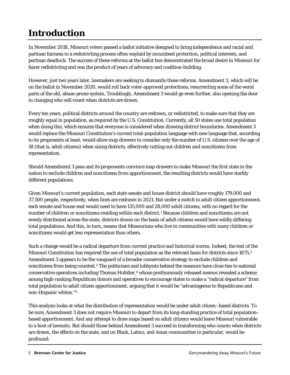# **Introduction**

In November 2018, Missouri voters passed a ballot initiative designed to bring independence and racial and partisan fairness to a redistricting process often waylaid by incumbent protection, political interests, and partisan deadlock. The success of these reforms at the ballot box demonstrated the broad desire in Missouri for fairer redistricting and was the product of years of advocacy and coalition-building.

However, just two years later, lawmakers are seeking to dismantle these reforms. Amendment 3, which will be on the ballot in November 2020, would roll back voter-approved protections, resurrecting some of the worst parts of the old, abuse-prone system. Troublingly, Amendment 3 would go even further, also opening the door to changing who will count when districts are drawn.

Every ten years, political districts around the country are redrawn, or redistricted, to make sure that they are roughly equal in population, as required by the U.S. Constitution. Currently, all 50 states use total population when doing this, which ensures that everyone is considered when drawing district boundaries. Amendment 3 would replace the Missouri Constitution's current total-population language with new language that, according to its proponents at least, would allow map drawers to consider only the number of U.S. citizens over the age of 18 (that is, adult citizens) when sizing districts, effectively cutting out children and noncitizens from representation.

Should Amendment 3 pass and its proponents convince map drawers to make Missouri the first state in the nation to exclude children and noncitizens from apportionment, the resulting districts would have starkly different populations.

Given Missouri's current population, each state senate and house district should have roughly 179,000 and 37,500 people, respectively, when lines are redrawn in 2021. But under a switch to adult citizen apportionment, each senate and house seat would need to have 135,000 and 28,000 *adult citizens*, with no regard for the number of children or noncitizens residing within each district.[1](#page-7-0) Because children and noncitizens are not evenly distributed across the state, districts drawn on the basis of adult citizens would have wildly differing total populations. And this, in turn, means that Missourians who live in communities with many children or noncitizens would get less representation than others.

Such a change would be a radical departure from current practice and historical norms. Indeed, the text of the Missouri Constitution has required the use of total population as the relevant basis for districts since 1875.[2](#page-7-1) Amendment 3 appears to be the vanguard of a broader conservative strategy to exclude children and noncitizens from being counted.[3](#page-7-2) The politicians and lobbyists behind the measure have close ties to national conservative operatives including Thomas Hofeller,[4](#page-7-3) whose posthumously released memos revealed a scheme among high-ranking Republican donors and operatives to encourage states to make a "radical departure" from total population to adult citizen apportionment, arguing that it would be "advantageous to Republicans and non-Hispanic whites."[5](#page-7-4)

This analysis looks at what the distribution of representation would be under adult citizen–based districts. To be sure, Amendment 3 does not *require* Missouri to depart from its long-standing practice of total population– based apportionment. And any attempt to draw maps based on adult citizens would leave Missouri vulnerable to a host of lawsuits. But should those behind Amendment 3 succeed in transforming who counts when districts are drawn, the effects on the state, and on Black, Latino, and Asian communities in particular, would be profound: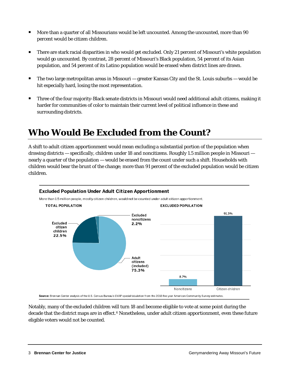- More than a quarter of all Missourians would be left uncounted. Among the uncounted, more than 90 percent would be citizen children.
- There are stark racial disparities in who would get excluded. Only 21 percent of Missouri's white population would go uncounted. By contrast, 28 percent of Missouri's Black population, 54 percent of its Asian population, and 54 percent of its Latino population would be erased when district lines are drawn.
- The two large metropolitan areas in Missouri  $-$  greater Kansas City and the St. Louis suburbs  $-$  would be hit especially hard, losing the most representation.
- Three of the four majority-Black senate districts in Missouri would need additional adult citizens, making it harder for communities of color to maintain their current level of political influence in these and surrounding districts.

## **Who Would Be Excluded from the Count?**

A shift to adult citizen apportionment would mean excluding a substantial portion of the population when drawing districts — specifically, children under 18 and noncitizens. Roughly 1.5 million people in Missouri nearly a quarter of the population — would be erased from the count under such a shift. Households with children would bear the brunt of the change; more than 91 percent of the excluded population would be citizen children.



Notably, many of the excluded children will turn 18 and become eligible to vote at some point during the decade that the district maps are in effect.<sup>[6](#page-7-5)</sup> Nonetheless, under adult citizen apportionment, even these future eligible voters would not be counted.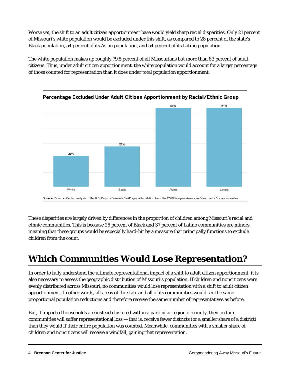Worse yet, the shift to an adult citizen apportionment base would yield sharp racial disparities. Only 21 percent of Missouri's white population would be excluded under this shift, as compared to 28 percent of the state's Black population, 54 percent of its Asian population, and 54 percent of its Latino population.

The white population makes up roughly 79.5 percent of all Missourians but more than 83 percent of adult citizens. Thus, under adult citizen apportionment, the white population would account for a larger percentage of those counted for representation than it does under total population apportionment.



These disparities are largely driven by differences in the proportion of children among Missouri's racial and ethnic communities. This is because 26 percent of Black and 37 percent of Latino communities are minors, meaning that these groups would be especially hard-hit by a measure that principally functions to exclude children from the count.

## **Which Communities Would Lose Representation?**

In order to fully understand the ultimate representational impact of a shift to adult citizen apportionment, it is also necessary to assess the geographic distribution of Missouri's population. If children and noncitizens were evenly distributed across Missouri, no communities would lose representation with a shift to adult citizen apportionment. In other words, all areas of the state and all of its communities would see the same proportional population reductions and therefore receive the same number of representatives as before.

But, if impacted households are instead clustered within a particular region or county, then certain communities will suffer representational loss — that is, receive fewer districts (or a smaller share of a district) than they would if their entire population was counted. Meanwhile, communities with a smaller share of children and noncitizens will receive a windfall, gaining that representation.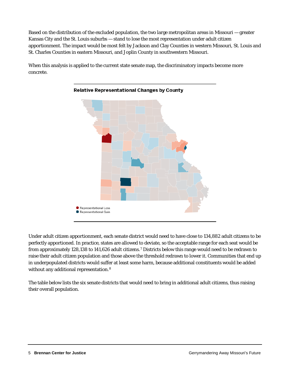Based on the distribution of the excluded population, the two large metropolitan areas in Missouri — greater Kansas City and the St. Louis suburbs — stand to lose the most representation under adult citizen apportionment. The impact would be most felt by Jackson and Clay Counties in western Missouri, St. Louis and St. Charles Counties in eastern Missouri, and Joplin County in southwestern Missouri.

When this analysis is applied to the current state senate map, the discriminatory impacts become more concrete.



#### **Relative Representational Changes by County**

Under adult citizen apportionment, each senate district would need to have close to 134,882 adult citizens to be perfectly apportioned. In practice, states are allowed to deviate, so the acceptable range for each seat would be from approximately 128,138 to 141,626 adult citizens.[7](#page-7-6) Districts below this range would need to be redrawn to raise their adult citizen population and those above the threshold redrawn to lower it. Communities that end up in underpopulated districts would suffer at least some harm, because additional constituents would be added without any additional representation.[8](#page-7-7)

The table below lists the six senate districts that would need to bring in additional adult citizens, thus raising their overall population.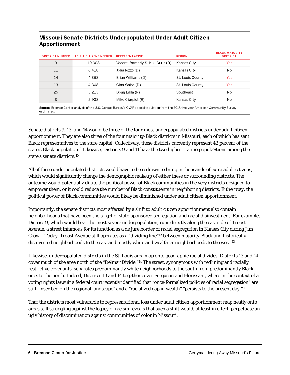#### Missouri Senate Districts Underpopulated Under Adult Citizen Apportionment

| <b>DISTRICT NUMBER</b>                                                                                                                | <b>ADULT CITIZENS NEEDED</b> | <b>REPRESENTATIVE</b>              | <b>REGION</b>    | <b>BLACK-MAJORITY</b><br><b>DISTRICT</b> |
|---------------------------------------------------------------------------------------------------------------------------------------|------------------------------|------------------------------------|------------------|------------------------------------------|
| 9                                                                                                                                     | 10.008                       | Vacant, formerly S. Kiki Curls (D) | Kansas City      | Yes                                      |
| 11                                                                                                                                    | 6.418                        | John Rizzo (D)                     | Kansas City      | No.                                      |
| 14                                                                                                                                    | 4.368                        | Brian Williams (D)                 | St. Louis County | Yes                                      |
| 13                                                                                                                                    | 4.308                        | Gina Walsh (D)                     | St. Louis County | Yes                                      |
| 25                                                                                                                                    | 3.213                        | Doug Libla (R)                     | Southeast        | No.                                      |
| 8                                                                                                                                     | 2.938                        | Mike Cierpiot (R)                  | Kansas City      | No.                                      |
| Source: Brennan Center analysis of the U.S. Census Bureau's CVAP special tabulation from the 2018 five-year American Community Survey |                              |                                    |                  |                                          |

estimates

Senate districts 9, 13, and 14 would be three of the four most underpopulated districts under adult citizen apportionment. They are also three of the four majority-Black districts in Missouri, each of which has sent Black representatives to the state capital. Collectively, these districts currently represent 42 percent of the state's Black population.<sup>[9](#page-7-8)</sup> Likewise, Districts 9 and 11 have the two highest Latino populaStions among the state's senate districts.[10](#page-7-9)

All of these underpopulated districts would have to be redrawn to bring in thousands of extra adult citizens, which would significantly change the demographic makeup of either these or surrounding districts. The outcome would potentially dilute the political power of Black communities in the very districts designed to empower them, or it could reduce the number of Black constituents in neighboring districts. Either way, the political power of Black communities would likely be diminished under adult citizen apportionment.

Importantly, the senate districts most affected by a shift to adult citizen apportionment also contain neighborhoods that have been the target of state-sponsored segregation and racist disinvestment. For example, District 9, which would bear the most severe underpopulation, runs directly along the east side of Troost Avenue, a street infamous for its function as a de jure border of racial segregation in Kansas City during Jim Crow.[11](#page-7-10) Today, Troost Avenue still operates as a "dividing line"[12](#page-8-0) between majority-Black and historically disinvested neighborhoods to the east and mostly white and wealthier neighborhoods to the west. [13](#page-8-1)

Likewise, underpopulated districts in the St. Louis area map onto geographic racial divides. Districts 13 and 14 cover much of the area north of the "Delmar Divide."[14](#page-8-2) The street, synonymous with redlining and racially restrictive covenants, separates predominantly white neighborhoods to the south from predominantly Black ones to the north. Indeed, Districts 13 and 14 together cover Ferguson and Florissant, where in the context of a voting rights lawsuit a federal court recently identified that "once-formalized policies of racial segregation" are still "inscribed on the regional landscape" and a "racialized gap in wealth" "persists to the present day."[15](#page-8-3)

That the districts most vulnerable to representational loss under adult citizen apportionment map neatly onto areas still struggling against the legacy of racism reveals that such a shift would, at least in effect, perpetuate an ugly history of discrimination against communities of color in Missouri.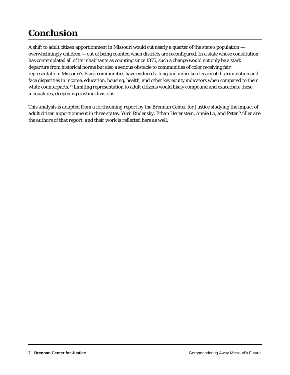## **Conclusion**

A shift to adult citizen apportionment in Missouri would cut nearly a quarter of the state's population overwhelmingly children — out of being counted when districts are reconfigured. In a state whose constitution has contemplated all of its inhabitants as counting since 1875, such a change would not only be a stark departure from historical norms but also a serious obstacle to communities of color receiving fair representation. Missouri's Black communities have endured a long and unbroken legacy of discrimination and face disparities in income, education, housing, health, and other key equity indicators when compared to their white counterparts.<sup>[16](#page-8-4)</sup> Limiting representation to adult citizens would likely compound and exacerbate these inequalities, deepening existing divisions.

*This analysis is adapted from a forthcoming report by the Brennan Center for Justice studying the impact of adult citizen apportionment in three states. Yurij Rudensky, Ethan Herenstein, Annie Lo, and Peter Miller are the authors of that report, and their work is reflected here as well.*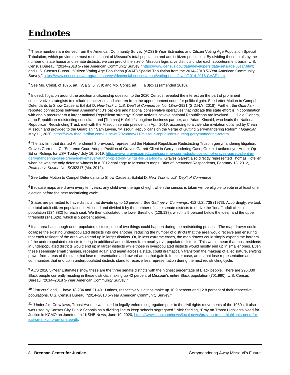## **Endnotes**

<span id="page-7-0"></span>**<sup>1</sup>** These numbers are derived from the American Community Survey (ACS) 5-Year Estimates and Citizen Voting Age Population Special Tabulation, which provide the most recent count of Missouri's total population and adult citizen population. By dividing those totals by the number of state house and senate districts, we can predict the size of Missouri legislative districts under each apportionment basis. U.S. Census Bureau, "2014–2018 5-Year American Community Survey," [https://www.census.gov/data/developers/data-sets/acs-5year.html;](https://www.census.gov/data/developers/data-sets/acs-5year.html) and U.S. Census Bureau, "Citizen Voting Age Population (CVAP) Special Tabulation from the 2014–2018 5-Year American Community Survey," [https://www.census.gov/programs-surveys/decennial-census/about/voting-rights/cvap/2014-2018-CVAP.html.](https://www.census.gov/programs-surveys/decennial-census/about/voting-rights/cvap/2014-2018-CVAP.html)

<span id="page-7-1"></span>**<sup>2</sup>** See Mo. Const. of 1875, art. IV, § 2, 5, 7, 9; and Mo. Const. art. III, § 3(c)(1) (amended 2018).

<span id="page-7-2"></span>**<sup>3</sup>** Indeed, litigation around the addition a citizenship question to the 2020 Census revealed the interest on the part of prominent conservative strategists to exclude noncitizens and children from the apportionment count for political gain. See Letter Motion to Compel Defendants to Show Cause at Exhibit D, *New York v. U.S. Dep't of Commerce*, No. 18-cv-2921 (S.D.N.Y. 2018). Further, the *Guardian* reported connections between Amendment 3's backers and national conservative operatives that indicate this state effort is in coordination with and a precursor to a larger national Republican strategy: "Some activists believe national Republicans are involved. . . . Dale Oldham, a top Republican redistricting consultant and [Thomas] Hofeller's longtime business partner, and Adam Kincaid, who leads the National Republican Redistricting Trust, met with the Missouri senate president in April 2019, according to a calendar invitation obtained by Clean Missouri and provided to the Guardian." Sam Levine, "Missouri Republicans on the Verge of Gutting Gerrymandering Reform," *Guardian*, May 11, 2020, [https://www.theguardian.com/us-news/2020/may/11/missouri-republicans-gutting-gerrymandering-reform.](https://www.theguardian.com/us-news/2020/may/11/missouri-republicans-gutting-gerrymandering-reform)

<span id="page-7-3"></span>**<sup>4</sup>** The law firm that drafted Amendment 3 previously represented the National Republican Redistricting Trust in gerrymandering litigation. Graves Garrett LLC, "Supreme Court Adopts Position of Graves Garrett Client in Gerrymandering Case; Greim, Luetkemeyer Author Op-Ed on Rulings for USA Today," July 16, 2019[, https://www.gravesgarrett.com/supreme-court-adopts-position-of-graves-garrett-client-in](https://www.gravesgarrett.com/supreme-court-adopts-position-of-graves-garrett-client-in-gerrymandering-case-greim-luetkemeyer-author-op-ed-on-rulings-for-usa-today/)[gerrymandering-case-greim-luetkemeyer-author-op-ed-on-rulings-for-usa-today/.](https://www.gravesgarrett.com/supreme-court-adopts-position-of-graves-garrett-client-in-gerrymandering-case-greim-luetkemeyer-author-op-ed-on-rulings-for-usa-today/) Graves Garrett also directly represented Thomas Hofeller when he was the only defense witness in a 2012 challenge to Missouri's maps. Brief of Intervenor Respondents, February 13, 2012, *Pearson v. Koster*, No. SC92317 (Mo. 2012).

<span id="page-7-4"></span>**<sup>5</sup>** See Letter Motion to Compel Defendants to Show Cause at Exhibit D, *New York v. U.S. Dep't of Commerce*.

<span id="page-7-5"></span>**<sup>6</sup>** Because maps are drawn every ten years, any child over the age of eight when the census is taken will be eligible to vote in at least one election before the next redistricting cycle.

<span id="page-7-6"></span>**<sup>7</sup>** States are permitted to have districts that deviate up to 10 percent. See *Gaffney v. Cummings*, 412 U.S. 735 (1973). Accordingly, we took the total adult citizen population in Missouri and divided it by the number of state senate districts to derive the "ideal" adult citizen population (134,882) for each seat. We then calculated the lower threshold (128,138), which is 5 percent below the ideal, and the upper threshold (141,626), which is 5 percent above.

<span id="page-7-7"></span>**<sup>8</sup>** If an area has enough underpopulated districts, one of two things could happen during the redistricting process. The map drawer could collapse the existing underpopulated districts into one another, reducing the number of districts that the area would receive and ensuring that each resident of the area would end up in larger districts. Or, in less extreme cases, the map drawer could simply expand the borders of the underpopulated districts to bring in additional adult citizens from nearby overpopulated districts. This would mean that most residents in underpopulated districts would end up in larger districts while those in overpopulated districts would mostly end up in smaller ones. Even these seemingly small changes, repeated again and again across a state, could dramatically transform the makeup of a legislature, shifting power from areas of the state that lose representation and toward areas that gain it. In either case, areas that lose representation and communities that end up in underpopulated districts stand to receive less representation during the next redistricting cycle.

<span id="page-7-8"></span>**<sup>9</sup>** ACS 2018 5-Year Estimates show these are the three senate districts with the highest percentage of Black people. There are 295,830 Black people currently residing in these districts, making up 42 percent of Missouri's entire Black population (701,990). U.S. Census Bureau, "2014–2018 5-Year American Community Survey."

<span id="page-7-9"></span>**<sup>10</sup>** Districts 9 and 11 have 18,284 and 21,491 Latinos, respectively. Latinos make up 10.9 percent and 12.8 percent of their respective populations. U.S. Census Bureau, "2014–2018 5-Year American Community Survey."

<span id="page-7-10"></span>**<sup>11</sup>** "Under Jim Crow laws, Troost Avenue was used to legally enforce segregation prior to the civil rights movements of the 1960s. It also was used by Kansas City Public Schools as a dividing line to keep schools segregated." Nick Starling, "Pray on Troost Highlights Need for Justice in KCMO on Juneteenth," KSHB News, June 19, 2020[, https://www.kshb.com/news/local-news/pray-on-troost-highlights-need-for](https://www.kshb.com/news/local-news/pray-on-troost-highlights-need-for-justice-in-kcmo-on-juneteenth)[justice-in-kcmo-on-juneteenth.](https://www.kshb.com/news/local-news/pray-on-troost-highlights-need-for-justice-in-kcmo-on-juneteenth)